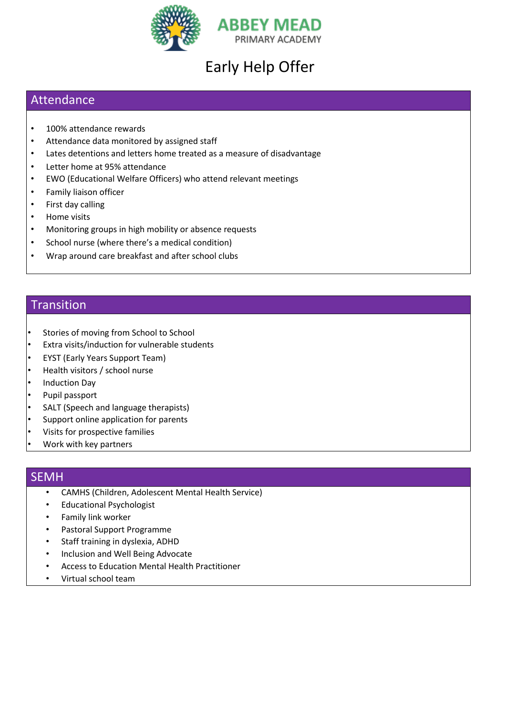

# Early Help Offer

## Attendance

- 100% attendance rewards
- Attendance data monitored by assigned staff
- Lates detentions and letters home treated as a measure of disadvantage
- Letter home at 95% attendance
- EWO (Educational Welfare Officers) who attend relevant meetings
- Family liaison officer
- First day calling
- Home visits
- Monitoring groups in high mobility or absence requests
- School nurse (where there's a medical condition)
- Wrap around care breakfast and after school clubs

#### Transition

- Stories of moving from School to School
- Extra visits/induction for vulnerable students
- EYST (Early Years Support Team)
- Health visitors / school nurse
- Induction Day
- Pupil passport
- SALT (Speech and language therapists)
- Support online application for parents
- Visits for prospective families
- Work with key partners

#### SEMH

- CAMHS (Children, Adolescent Mental Health Service)
- Educational Psychologist
- Family link worker
- Pastoral Support Programme
- Staff training in dyslexia, ADHD
- Inclusion and Well Being Advocate
- Access to Education Mental Health Practitioner
- Virtual school team